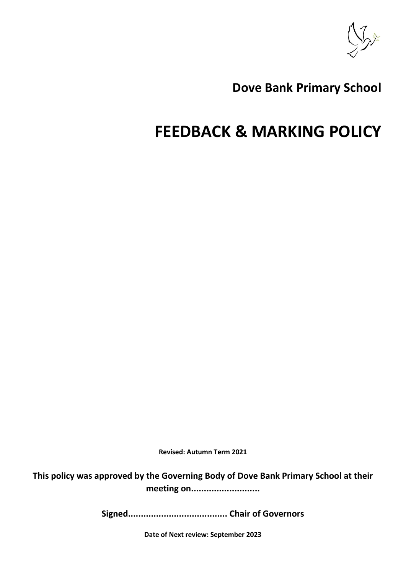

# **Dove Bank Primary School**

# **FEEDBACK & MARKING POLICY**

**Revised: Autumn Term 2021** 

**This policy was approved by the Governing Body of Dove Bank Primary School at their meeting on...........................**

**Signed....................................... Chair of Governors**

**Date of Next review: September 2023**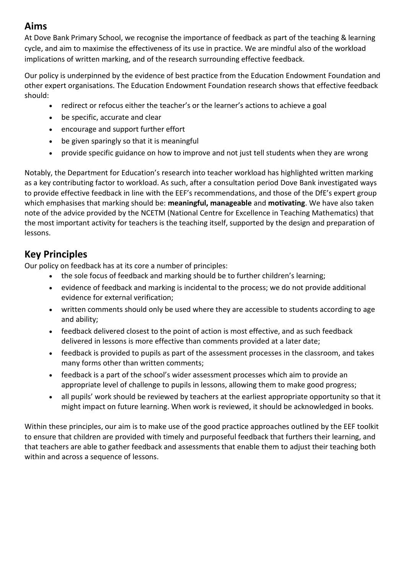## **Aims**

At Dove Bank Primary School, we recognise the importance of feedback as part of the teaching & learning cycle, and aim to maximise the effectiveness of its use in practice. We are mindful also of the workload implications of written marking, and of the research surrounding effective feedback.

Our policy is underpinned by the evidence of best practice from the Education Endowment Foundation and other expert organisations. The Education Endowment Foundation research shows that effective feedback should:

- redirect or refocus either the teacher's or the learner's actions to achieve a goal
- be specific, accurate and clear
- encourage and support further effort
- be given sparingly so that it is meaningful
- provide specific guidance on how to improve and not just tell students when they are wrong

Notably, the Department for Education's research into teacher workload has highlighted written marking as a key contributing factor to workload. As such, after a consultation period Dove Bank investigated ways to provide effective feedback in line with the EEF's recommendations, and those of the DfE's expert group which emphasises that marking should be: **meaningful, manageable** and **motivating**. We have also taken note of the advice provided by the NCETM (National Centre for Excellence in Teaching Mathematics) that the most important activity for teachers is the teaching itself, supported by the design and preparation of lessons.

#### **Key Principles**

Our policy on feedback has at its core a number of principles:

- the sole focus of feedback and marking should be to further children's learning;
- evidence of feedback and marking is incidental to the process; we do not provide additional evidence for external verification;
- written comments should only be used where they are accessible to students according to age and ability;
- feedback delivered closest to the point of action is most effective, and as such feedback delivered in lessons is more effective than comments provided at a later date;
- feedback is provided to pupils as part of the assessment processes in the classroom, and takes many forms other than written comments;
- feedback is a part of the school's wider assessment processes which aim to provide an appropriate level of challenge to pupils in lessons, allowing them to make good progress;
- all pupils' work should be reviewed by teachers at the earliest appropriate opportunity so that it might impact on future learning. When work is reviewed, it should be acknowledged in books.

Within these principles, our aim is to make use of the good practice approaches outlined by the EEF toolkit to ensure that children are provided with timely and purposeful feedback that furthers their learning, and that teachers are able to gather feedback and assessments that enable them to adjust their teaching both within and across a sequence of lessons.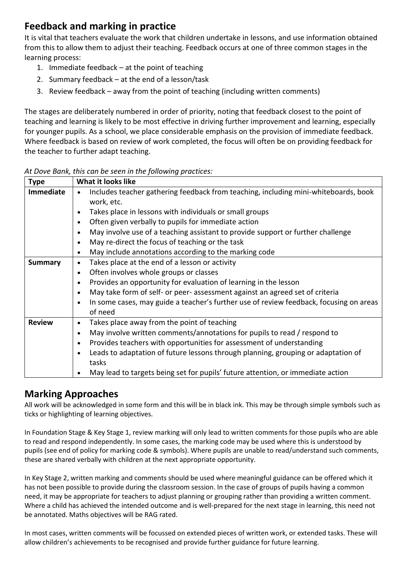## **Feedback and marking in practice**

It is vital that teachers evaluate the work that children undertake in lessons, and use information obtained from this to allow them to adjust their teaching. Feedback occurs at one of three common stages in the learning process:

- 1. Immediate feedback at the point of teaching
- 2. Summary feedback at the end of a lesson/task
- 3. Review feedback away from the point of teaching (including written comments)

The stages are deliberately numbered in order of priority, noting that feedback closest to the point of teaching and learning is likely to be most effective in driving further improvement and learning, especially for younger pupils. As a school, we place considerable emphasis on the provision of immediate feedback. Where feedback is based on review of work completed, the focus will often be on providing feedback for the teacher to further adapt teaching.

| <b>Type</b>   | What it looks like                                                                                             |
|---------------|----------------------------------------------------------------------------------------------------------------|
| Immediate     | Includes teacher gathering feedback from teaching, including mini-whiteboards, book<br>$\bullet$<br>work, etc. |
|               | Takes place in lessons with individuals or small groups<br>$\bullet$                                           |
|               | Often given verbally to pupils for immediate action<br>$\bullet$                                               |
|               | May involve use of a teaching assistant to provide support or further challenge<br>$\bullet$                   |
|               | May re-direct the focus of teaching or the task<br>$\bullet$                                                   |
|               | May include annotations according to the marking code<br>$\bullet$                                             |
| Summary       | Takes place at the end of a lesson or activity<br>$\bullet$                                                    |
|               | Often involves whole groups or classes<br>$\bullet$                                                            |
|               | Provides an opportunity for evaluation of learning in the lesson<br>$\bullet$                                  |
|               | May take form of self- or peer- assessment against an agreed set of criteria<br>$\bullet$                      |
|               | In some cases, may guide a teacher's further use of review feedback, focusing on areas<br>$\bullet$<br>of need |
| <b>Review</b> | Takes place away from the point of teaching<br>$\bullet$                                                       |
|               | May involve written comments/annotations for pupils to read / respond to<br>$\bullet$                          |
|               | Provides teachers with opportunities for assessment of understanding<br>$\bullet$                              |
|               | Leads to adaptation of future lessons through planning, grouping or adaptation of<br>$\bullet$                 |
|               | tasks                                                                                                          |
|               | May lead to targets being set for pupils' future attention, or immediate action                                |

*At Dove Bank, this can be seen in the following practices:*

# **Marking Approaches**

All work will be acknowledged in some form and this will be in black ink. This may be through simple symbols such as ticks or highlighting of learning objectives.

In Foundation Stage & Key Stage 1, review marking will only lead to written comments for those pupils who are able to read and respond independently. In some cases, the marking code may be used where this is understood by pupils (see end of policy for marking code & symbols). Where pupils are unable to read/understand such comments, these are shared verbally with children at the next appropriate opportunity.

In Key Stage 2, written marking and comments should be used where meaningful guidance can be offered which it has not been possible to provide during the classroom session. In the case of groups of pupils having a common need, it may be appropriate for teachers to adjust planning or grouping rather than providing a written comment. Where a child has achieved the intended outcome and is well-prepared for the next stage in learning, this need not be annotated. Maths objectives will be RAG rated.

In most cases, written comments will be focussed on extended pieces of written work, or extended tasks. These will allow children's achievements to be recognised and provide further guidance for future learning.